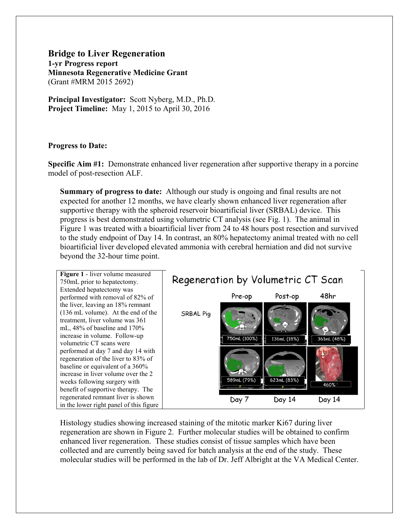**Bridge to Liver Regeneration 1-yr Progress report Minnesota Regenerative Medicine Grant** (Grant #MRM 2015 2692)

**Principal Investigator:** Scott Nyberg, M.D., Ph.D. **Project Timeline:** May 1, 2015 to April 30, 2016

## **Progress to Date:**

**Specific Aim #1:** Demonstrate enhanced liver regeneration after supportive therapy in a porcine model of post-resection ALF.

**Summary of progress to date:** Although our study is ongoing and final results are not expected for another 12 months, we have clearly shown enhanced liver regeneration after supportive therapy with the spheroid reservoir bioartificial liver (SRBAL) device. This progress is best demonstrated using volumetric CT analysis (see Fig. 1). The animal in Figure 1 was treated with a bioartificial liver from 24 to 48 hours post resection and survived to the study endpoint of Day 14. In contrast, an 80% hepatectomy animal treated with no cell bioartificial liver developed elevated ammonia with cerebral herniation and did not survive beyond the 32-hour time point.



Histology studies showing increased staining of the mitotic marker Ki67 during liver regeneration are shown in Figure 2. Further molecular studies will be obtained to confirm enhanced liver regeneration. These studies consist of tissue samples which have been collected and are currently being saved for batch analysis at the end of the study. These molecular studies will be performed in the lab of Dr. Jeff Albright at the VA Medical Center.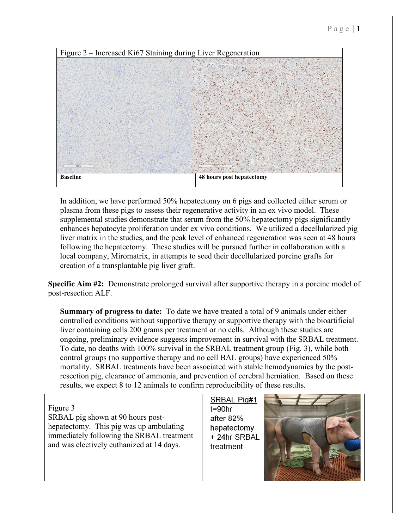

In addition, we have performed 50% hepatectomy on 6 pigs and collected either serum or plasma from these pigs to assess their regenerative activity in an ex vivo model. These supplemental studies demonstrate that serum from the 50% hepatectomy pigs significantly enhances hepatocyte proliferation under ex vivo conditions. We utilized a decellularized pig liver matrix in the studies, and the peak level of enhanced regeneration was seen at 48 hours following the hepatectomy. These studies will be pursued further in collaboration with a local company, Miromatrix, in attempts to seed their decellularized porcine grafts for creation of a transplantable pig liver graft.

**Specific Aim #2:** Demonstrate prolonged survival after supportive therapy in a porcine model of post-resection ALF.

**Summary of progress to date:** To date we have treated a total of 9 animals under either controlled conditions without supportive therapy or supportive therapy with the bioartificial liver containing cells 200 grams per treatment or no cells. Although these studies are ongoing, preliminary evidence suggests improvement in survival with the SRBAL treatment. To date, no deaths with 100% survival in the SRBAL treatment group (Fig. 3), while both control groups (no supportive therapy and no cell BAL groups) have experienced 50% mortality. SRBAL treatments have been associated with stable hemodynamics by the postresection pig, clearance of ammonia, and prevention of cerebral herniation. Based on these results, we expect 8 to 12 animals to confirm reproducibility of these results.

Figure 3 SRBAL pig shown at 90 hours posthepatectomy. This pig was up ambulating immediately following the SRBAL treatment and was electively euthanized at 14 days.

SRBAL Pig#1  $t = 90$ hr after 82% hepatectomy + 24hr SRBAL treatment

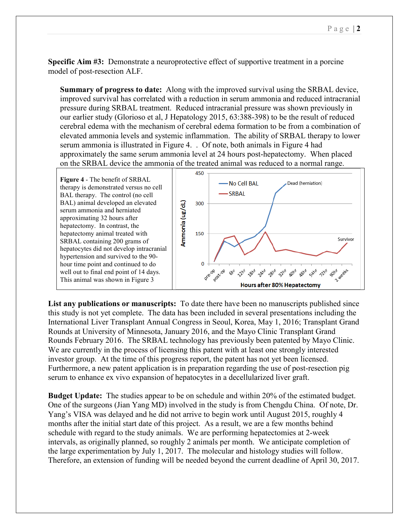**Specific Aim #3:** Demonstrate a neuroprotective effect of supportive treatment in a porcine model of post-resection ALF.

**Summary of progress to date:** Along with the improved survival using the SRBAL device, improved survival has correlated with a reduction in serum ammonia and reduced intracranial pressure during SRBAL treatment. Reduced intracranial pressure was shown previously in our earlier study (Glorioso et al, J Hepatology 2015, 63:388-398) to be the result of reduced cerebral edema with the mechanism of cerebral edema formation to be from a combination of elevated ammonia levels and systemic inflammation. The ability of SRBAL therapy to lower serum ammonia is illustrated in Figure 4. . Of note, both animals in Figure 4 had approximately the same serum ammonia level at 24 hours post-hepatectomy. When placed on the SRBAL device the ammonia of the treated animal was reduced to a normal range.



**List any publications or manuscripts:** To date there have been no manuscripts published since this study is not yet complete. The data has been included in several presentations including the International Liver Transplant Annual Congress in Seoul, Korea, May 1, 2016; Transplant Grand Rounds at University of Minnesota, January 2016, and the Mayo Clinic Transplant Grand Rounds February 2016. The SRBAL technology has previously been patented by Mayo Clinic. We are currently in the process of licensing this patent with at least one strongly interested investor group. At the time of this progress report, the patent has not yet been licensed. Furthermore, a new patent application is in preparation regarding the use of post-resection pig serum to enhance ex vivo expansion of hepatocytes in a decellularized liver graft.

**Budget Update:** The studies appear to be on schedule and within 20% of the estimated budget. One of the surgeons (Jian Yang MD) involved in the study is from Chengdu China. Of note, Dr. Yang's VISA was delayed and he did not arrive to begin work until August 2015, roughly 4 months after the initial start date of this project. As a result, we are a few months behind schedule with regard to the study animals. We are performing hepatectomies at 2-week intervals, as originally planned, so roughly 2 animals per month. We anticipate completion of the large experimentation by July 1, 2017. The molecular and histology studies will follow. Therefore, an extension of funding will be needed beyond the current deadline of April 30, 2017.